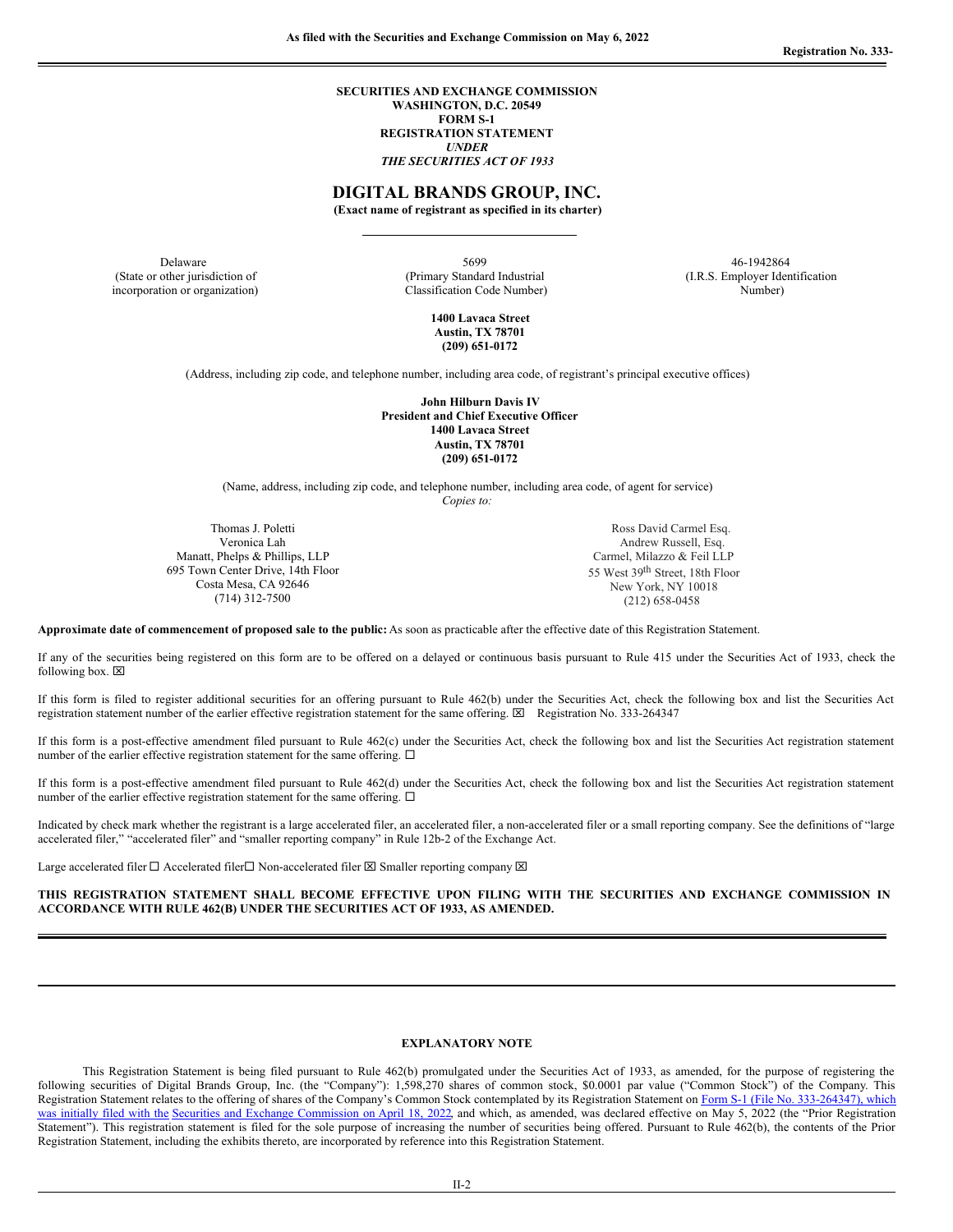**SECURITIES AND EXCHANGE COMMISSION WASHINGTON, D.C. 20549 FORM S-1 REGISTRATION STATEMENT** *UNDER THE SECURITIES ACT OF 1933*

# **DIGITAL BRANDS GROUP, INC.**

**(Exact name of registrant as specified in its charter)**

(State or other jurisdiction of incorporation or organization)

Delaware 5699 46-1942864 (Primary Standard Industrial Classification Code Number)

(I.R.S. Employer Identification Number)

**1400 Lavaca Street Austin, TX 78701 (209) 651-0172**

(Address, including zip code, and telephone number, including area code, of registrant's principal executive offices)

**John Hilburn Davis IV President and Chief Executive Officer 1400 Lavaca Street Austin, TX 78701 (209) 651-0172**

(Name, address, including zip code, and telephone number, including area code, of agent for service)

*Copies to:*

Thomas J. Poletti Veronica Lah Manatt, Phelps & Phillips, LLP 695 Town Center Drive, 14th Floor Costa Mesa, CA 92646 (714) 312-7500

Ross David Carmel Esq. Andrew Russell, Esq. Carmel, Milazzo & Feil LLP 55 West 39<sup>th</sup> Street, 18th Floor New York, NY 10018 (212) 658-0458

**Approximate date of commencement of proposed sale to the public:** As soon as practicable after the effective date of this Registration Statement.

If any of the securities being registered on this form are to be offered on a delayed or continuous basis pursuant to Rule 415 under the Securities Act of 1933, check the following box.  $\boxtimes$ 

If this form is filed to register additional securities for an offering pursuant to Rule 462(b) under the Securities Act, check the following box and list the Securities Act registration statement number of the earlier effective registration statement for the same offering.  $\boxtimes$  Registration No. 333-264347

If this form is a post-effective amendment filed pursuant to Rule 462(c) under the Securities Act, check the following box and list the Securities Act registration statement number of the earlier effective registration statement for the same offering.  $\Box$ 

If this form is a post-effective amendment filed pursuant to Rule 462(d) under the Securities Act, check the following box and list the Securities Act registration statement number of the earlier effective registration statement for the same offering.  $\Box$ 

Indicated by check mark whether the registrant is a large accelerated filer, an accelerated filer, a non-accelerated filer or a small reporting company. See the definitions of "large accelerated filer," "accelerated filer" and "smaller reporting company" in Rule 12b-2 of the Exchange Act.

Large accelerated filer  $\Box$  Accelerated filer  $\Box$  Non-accelerated filer  $\boxtimes$  Smaller reporting company  $\boxtimes$ 

**THIS REGISTRATION STATEMENT SHALL BECOME EFFECTIVE UPON FILING WITH THE SECURITIES AND EXCHANGE COMMISSION IN ACCORDANCE WITH RULE 462(B) UNDER THE SECURITIES ACT OF 1933, AS AMENDED.**

#### **EXPLANATORY NOTE**

This Registration Statement is being filed pursuant to Rule 462(b) promulgated under the Securities Act of 1933, as amended, for the purpose of registering the following securities of Digital Brands Group, Inc. (the "Company"): 1,598,270 shares of common stock, \$0.0001 par value ("Common Stock") of the Company. This Registration Statement relates to the offering of shares of the Company's Common Stock contemplated by its Registration Statement on Form S-1 (File No. [333-264347\),](http://www.sec.gov/ix?doc=/Archives/edgar/data/1668010/000110465922046664/dbgi-20220418xs1.htm) which was initially filed with the Securities and Exchange [Commission](http://www.sec.gov/ix?doc=/Archives/edgar/data/1668010/000110465922046664/dbgi-20220418xs1.htm) on April 18, 2022, and which, as amended, was declared effective on May 5, 2022 (the "Prior Registration") Statement"). This registration statement is filed for the sole purpose of increasing the number of securities being offered. Pursuant to Rule 462(b), the contents of the Prior Registration Statement, including the exhibits thereto, are incorporated by reference into this Registration Statement.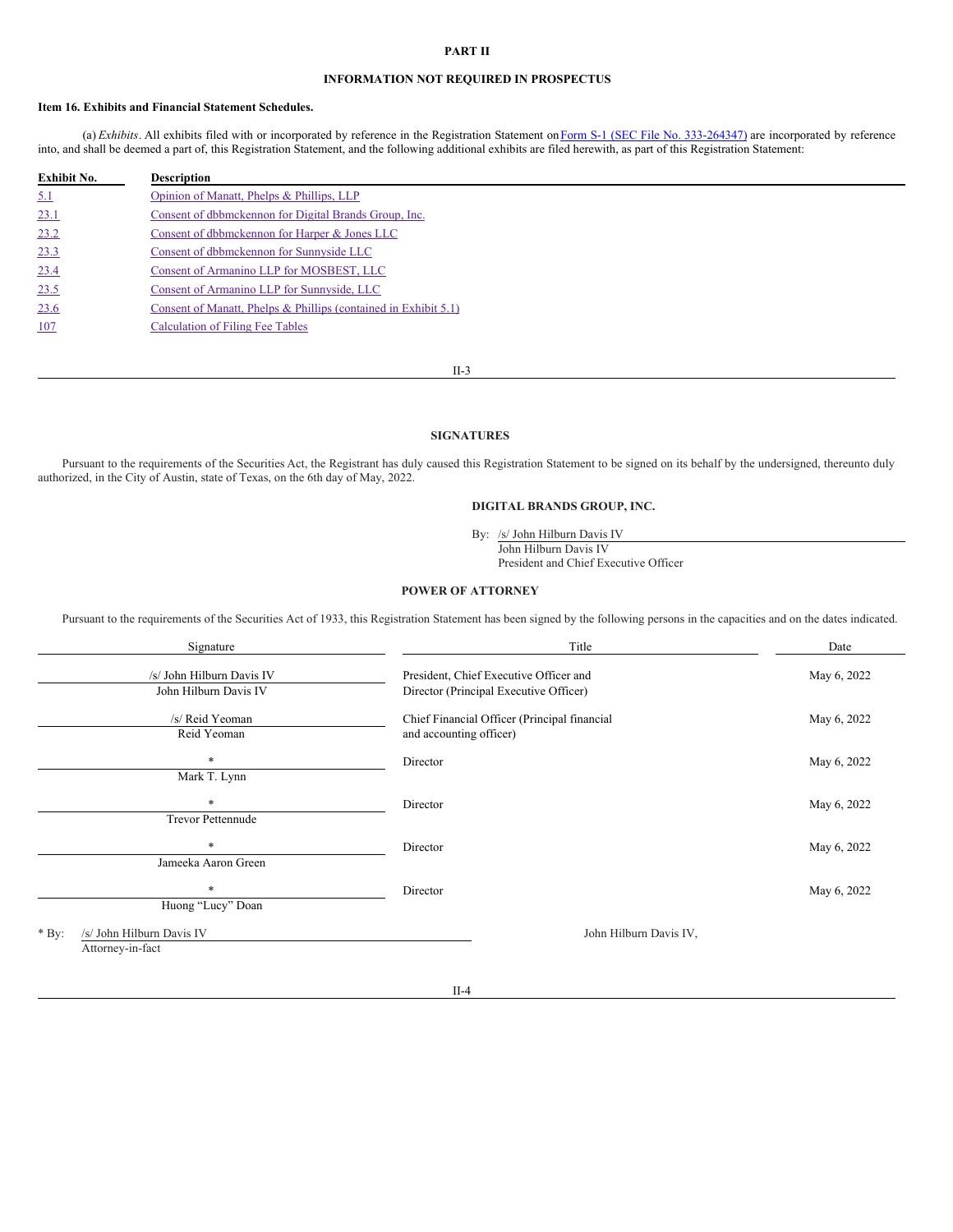#### **PART II**

## **INFORMATION NOT REQUIRED IN PROSPECTUS**

## **Item 16. Exhibits and Financial Statement Schedules.**

(a) *Exhibits*. All exhibits filed with or incorporated by reference in the Registration Statement on Form S-1 (SEC File No. [333-264347\)](http://www.sec.gov/ix?doc=/Archives/edgar/data/1668010/000110465922046664/dbgi-20220418xs1.htm) are incorporated by reference into, and shall be deemed a part of, this Registration Statement, and the following additional exhibits are filed herewith, as part of this Registration Statement:

| <b>Exhibit No.</b> | <b>Description</b>                                              |
|--------------------|-----------------------------------------------------------------|
| 5.1                | Opinion of Manatt, Phelps & Phillips, LLP                       |
| 23.1               | Consent of dbbmckennon for Digital Brands Group, Inc.           |
| 23.2               | Consent of dbbmckennon for Harper & Jones LLC                   |
| 23.3               | Consent of dbbmckennon for Sunnyside LLC                        |
| 23.4               | Consent of Armanino LLP for MOSBEST, LLC                        |
| 23.5               | Consent of Armanino LLP for Sunnyside, LLC                      |
| 23.6               | Consent of Manatt, Phelps & Phillips (contained in Exhibit 5.1) |
| 107                | <b>Calculation of Filing Fee Tables</b>                         |

II-3

## **SIGNATURES**

Pursuant to the requirements of the Securities Act, the Registrant has duly caused this Registration Statement to be signed on its behalf by the undersigned, thereunto duly authorized, in the City of Austin, state of Texas, on the 6th day of May, 2022.

## **DIGITAL BRANDS GROUP, INC.**

By: /s/ John Hilburn Davis IV

John Hilburn Davis IV

President and Chief Executive Officer

## **POWER OF ATTORNEY**

Pursuant to the requirements of the Securities Act of 1933, this Registration Statement has been signed by the following persons in the capacities and on the dates indicated.

| Signature                                                | Title                                                                            | Date        |
|----------------------------------------------------------|----------------------------------------------------------------------------------|-------------|
| /s/ John Hilburn Davis IV<br>John Hilburn Davis IV       | President, Chief Executive Officer and<br>Director (Principal Executive Officer) | May 6, 2022 |
| /s/ Reid Yeoman<br>Reid Yeoman                           | Chief Financial Officer (Principal financial<br>and accounting officer)          | May 6, 2022 |
| $\ast$<br>Mark T. Lynn                                   | Director                                                                         | May 6, 2022 |
| $\ast$<br><b>Trevor Pettennude</b>                       | Director                                                                         | May 6, 2022 |
| $\ast$<br>Jameeka Aaron Green                            | Director                                                                         | May 6, 2022 |
| $\ast$<br>Huong "Lucy" Doan                              | Director                                                                         | May 6, 2022 |
| /s/ John Hilburn Davis IV<br>$*$ By:<br>Attorney-in-fact | John Hilburn Davis IV,                                                           |             |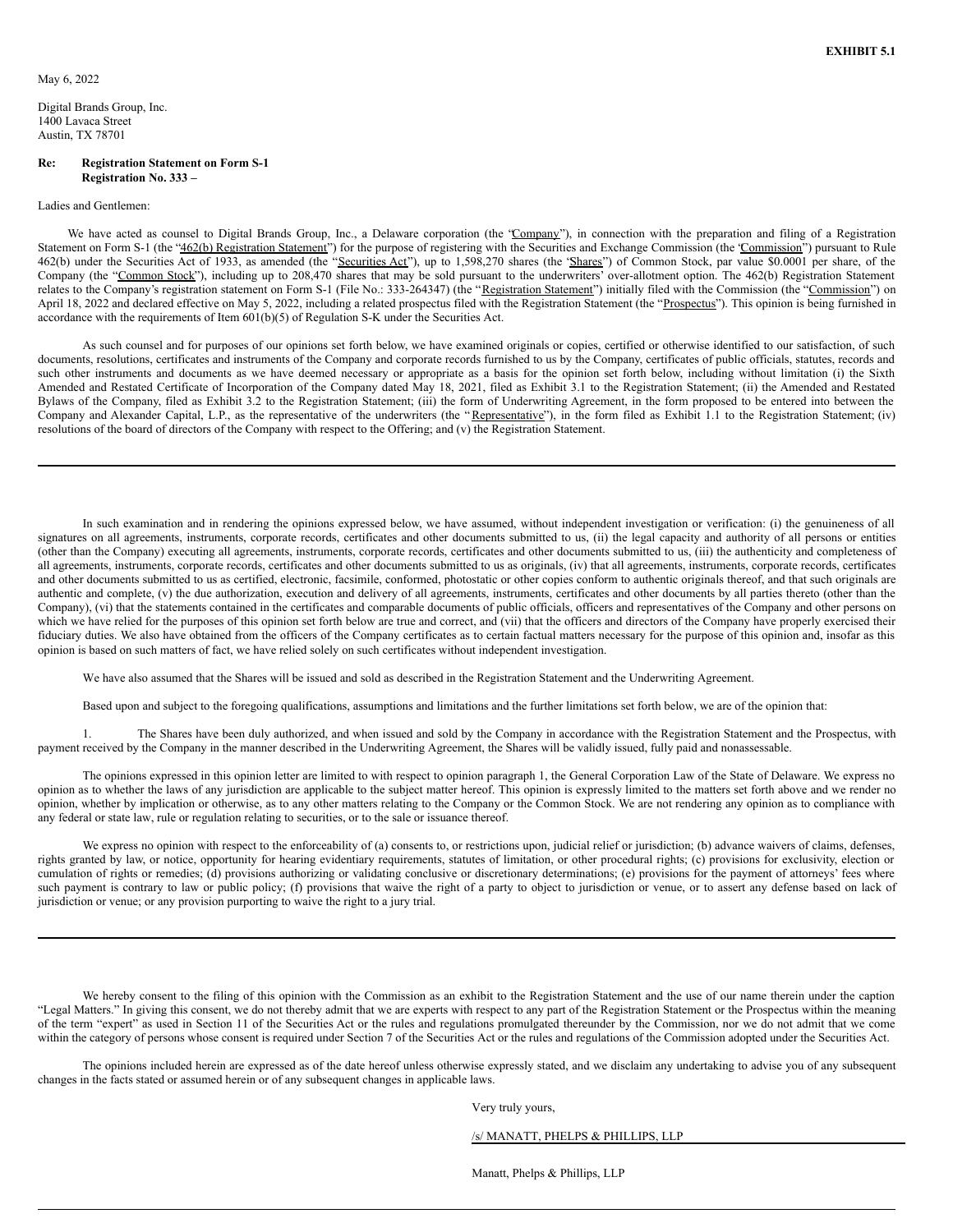<span id="page-2-0"></span>Digital Brands Group, Inc. 1400 Lavaca Street Austin, TX 78701

#### **Re: Registration Statement on Form S-1 Registration No. 333 –**

#### Ladies and Gentlemen:

We have acted as counsel to Digital Brands Group, Inc., a Delaware corporation (the "Company"), in connection with the preparation and filing of a Registration Statement on Form S-1 (the "462(b) Registration Statement") for the purpose of registering with the Securities and Exchange Commission (the 'Commission") pursuant to Rule 462(b) under the Securities Act of 1933, as amended (the "Securities Act"), up to 1,598,270 shares (the 'Shares'') of Common Stock, par value \$0.0001 per share, of the Company (the "Common Stock"), including up to 208,470 shares that may be sold pursuant to the underwriters' over-allotment option. The 462(b) Registration Statement relates to the Company's registration statement on Form S-1 (File No.: 333-264347) (the "Registration Statement") initially filed with the Commission (the "Commission") on April 18, 2022 and declared effective on May 5, 2022, including a related prospectus filed with the Registration Statement (the "Prospectus"). This opinion is being furnished in accordance with the requirements of Item 601(b)(5) of Regulation S-K under the Securities Act.

As such counsel and for purposes of our opinions set forth below, we have examined originals or copies, certified or otherwise identified to our satisfaction, of such documents, resolutions, certificates and instruments of the Company and corporate records furnished to us by the Company, certificates of public officials, statutes, records and such other instruments and documents as we have deemed necessary or appropriate as a basis for the opinion set forth below, including without limitation (i) the Sixth Amended and Restated Certificate of Incorporation of the Company dated May 18, 2021, filed as Exhibit 3.1 to the Registration Statement; (ii) the Amended and Restated Bylaws of the Company, filed as Exhibit 3.2 to the Registration Statement; (iii) the form of Underwriting Agreement, in the form proposed to be entered into between the Company and Alexander Capital, L.P., as the representative of the underwriters (the "Representative"), in the form filed as Exhibit 1.1 to the Registration Statement; (iv) resolutions of the board of directors of the Company with respect to the Offering; and (v) the Registration Statement.

In such examination and in rendering the opinions expressed below, we have assumed, without independent investigation or verification: (i) the genuineness of all signatures on all agreements, instruments, corporate records, certificates and other documents submitted to us, (ii) the legal capacity and authority of all persons or entities (other than the Company) executing all agreements, instruments, corporate records, certificates and other documents submitted to us, (iii) the authenticity and completeness of all agreements, instruments, corporate records, certificates and other documents submitted to us as originals, (iv) that all agreements, instruments, corporate records, certificates and other documents submitted to us as certified, electronic, facsimile, conformed, photostatic or other copies conform to authentic originals thereof, and that such originals are authentic and complete, (v) the due authorization, execution and delivery of all agreements, instruments, certificates and other documents by all parties thereto (other than the Company), (vi) that the statements contained in the certificates and comparable documents of public officials, officers and representatives of the Company and other persons on which we have relied for the purposes of this opinion set forth below are true and correct, and (vii) that the officers and directors of the Company have properly exercised their fiduciary duties. We also have obtained from the officers of the Company certificates as to certain factual matters necessary for the purpose of this opinion and, insofar as this opinion is based on such matters of fact, we have relied solely on such certificates without independent investigation.

We have also assumed that the Shares will be issued and sold as described in the Registration Statement and the Underwriting Agreement.

Based upon and subject to the foregoing qualifications, assumptions and limitations and the further limitations set forth below, we are of the opinion that:

1. The Shares have been duly authorized, and when issued and sold by the Company in accordance with the Registration Statement and the Prospectus, with payment received by the Company in the manner described in the Underwriting Agreement, the Shares will be validly issued, fully paid and nonassessable.

The opinions expressed in this opinion letter are limited to with respect to opinion paragraph 1, the General Corporation Law of the State of Delaware. We express no opinion as to whether the laws of any jurisdiction are applicable to the subject matter hereof. This opinion is expressly limited to the matters set forth above and we render no opinion, whether by implication or otherwise, as to any other matters relating to the Company or the Common Stock. We are not rendering any opinion as to compliance with any federal or state law, rule or regulation relating to securities, or to the sale or issuance thereof.

We express no opinion with respect to the enforceability of (a) consents to, or restrictions upon, judicial relief or jurisdiction; (b) advance waivers of claims, defenses, rights granted by law, or notice, opportunity for hearing evidentiary requirements, statutes of limitation, or other procedural rights; (c) provisions for exclusivity, election or cumulation of rights or remedies; (d) provisions authorizing or validating conclusive or discretionary determinations; (e) provisions for the payment of attorneys' fees where such payment is contrary to law or public policy; (f) provisions that waive the right of a party to object to jurisdiction or venue, or to assert any defense based on lack of jurisdiction or venue; or any provision purporting to waive the right to a jury trial.

We hereby consent to the filing of this opinion with the Commission as an exhibit to the Registration Statement and the use of our name therein under the caption "Legal Matters." In giving this consent, we do not thereby admit that we are experts with respect to any part of the Registration Statement or the Prospectus within the meaning of the term "expert" as used in Section 11 of the Securities Act or the rules and regulations promulgated thereunder by the Commission, nor we do not admit that we come within the category of persons whose consent is required under Section 7 of the Securities Act or the rules and regulations of the Commission adopted under the Securities Act.

The opinions included herein are expressed as of the date hereof unless otherwise expressly stated, and we disclaim any undertaking to advise you of any subsequent changes in the facts stated or assumed herein or of any subsequent changes in applicable laws.

Very truly yours,

/s/ MANATT, PHELPS & PHILLIPS, LLP

Manatt, Phelps & Phillips, LLP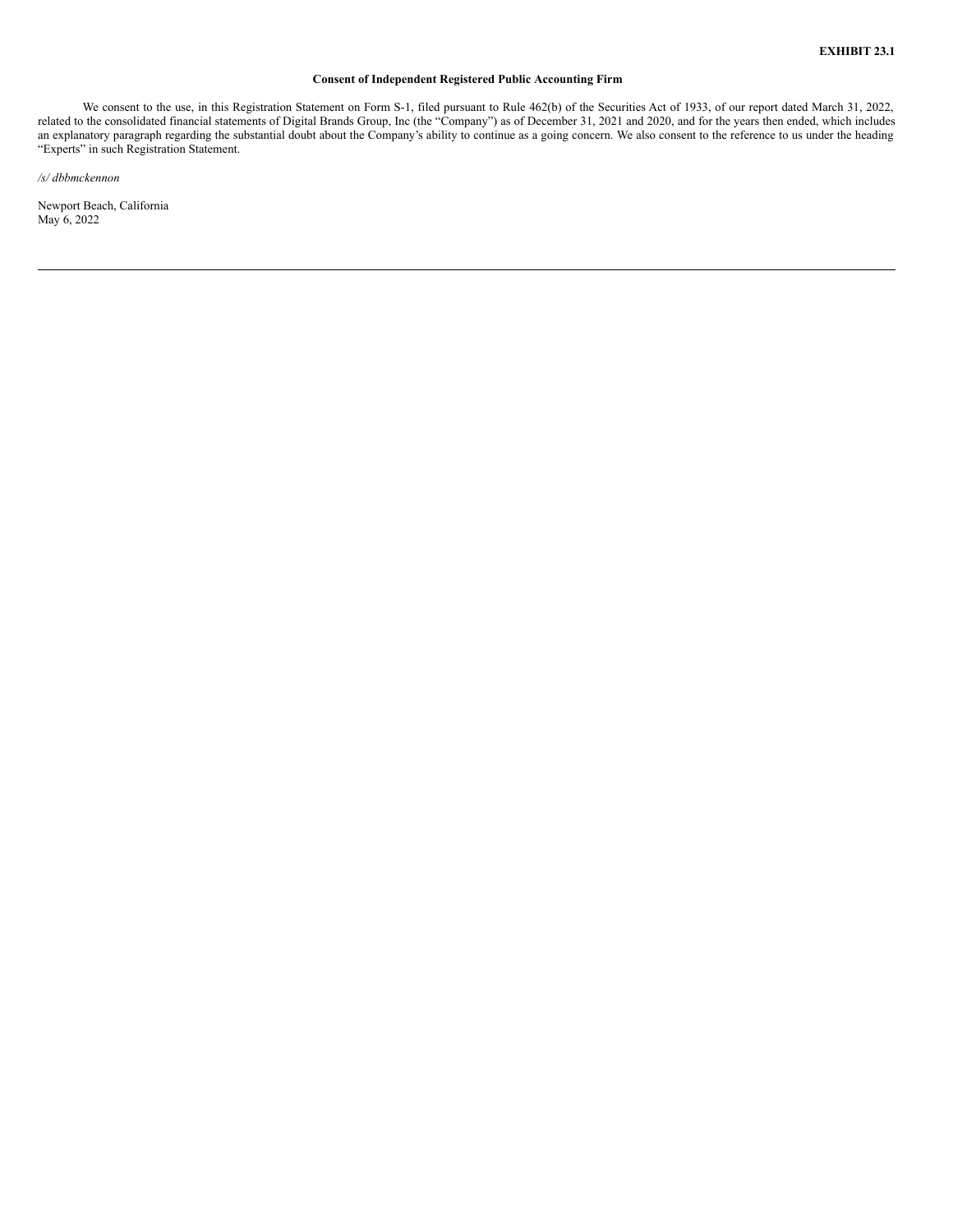# **Consent of Independent Registered Public Accounting Firm**

<span id="page-4-0"></span>We consent to the use, in this Registration Statement on Form S-1, filed pursuant to Rule 462(b) of the Securities Act of 1933, of our report dated March 31, 2022, related to the consolidated financial statements of Digital Brands Group, Inc (the "Company") as of December 31, 2021 and 2020, and for the years then ended, which includes an explanatory paragraph regarding the substantial doubt about the Company's ability to continue as a going concern. We also consent to the reference to us under the heading "Experts" in such Registration Statement.

*/s/ dbbmckennon*

Newport Beach, California May 6, 2022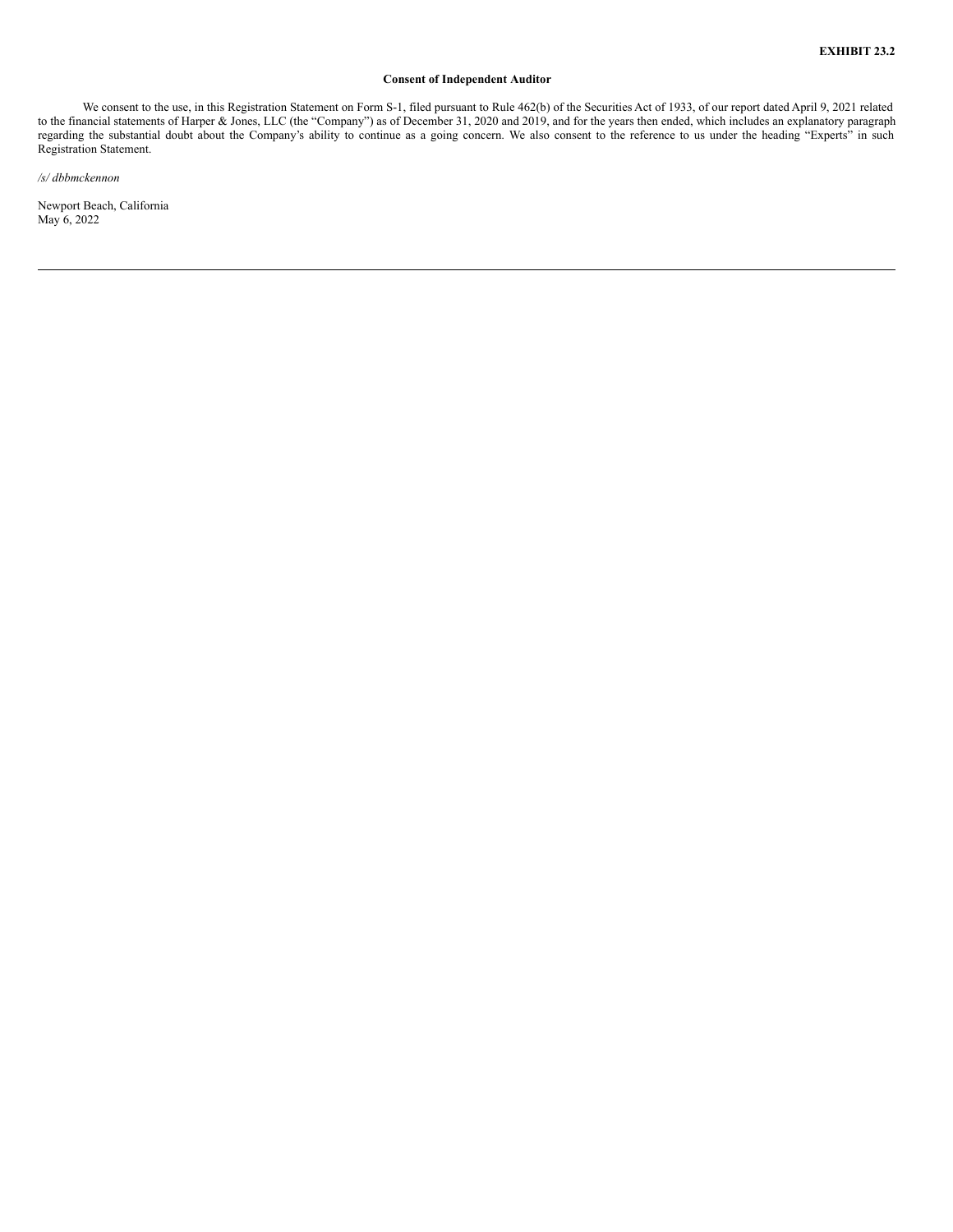# **Consent of Independent Auditor**

<span id="page-5-0"></span>We consent to the use, in this Registration Statement on Form S-1, filed pursuant to Rule 462(b) of the Securities Act of 1933, of our report dated April 9, 2021 related to the financial statements of Harper & Jones, LLC (the "Company") as of December 31, 2020 and 2019, and for the years then ended, which includes an explanatory paragraph regarding the substantial doubt about the Company's ability to continue as a going concern. We also consent to the reference to us under the heading "Experts" in such Registration Statement.

*/s/ dbbmckennon*

Newport Beach, California May 6, 2022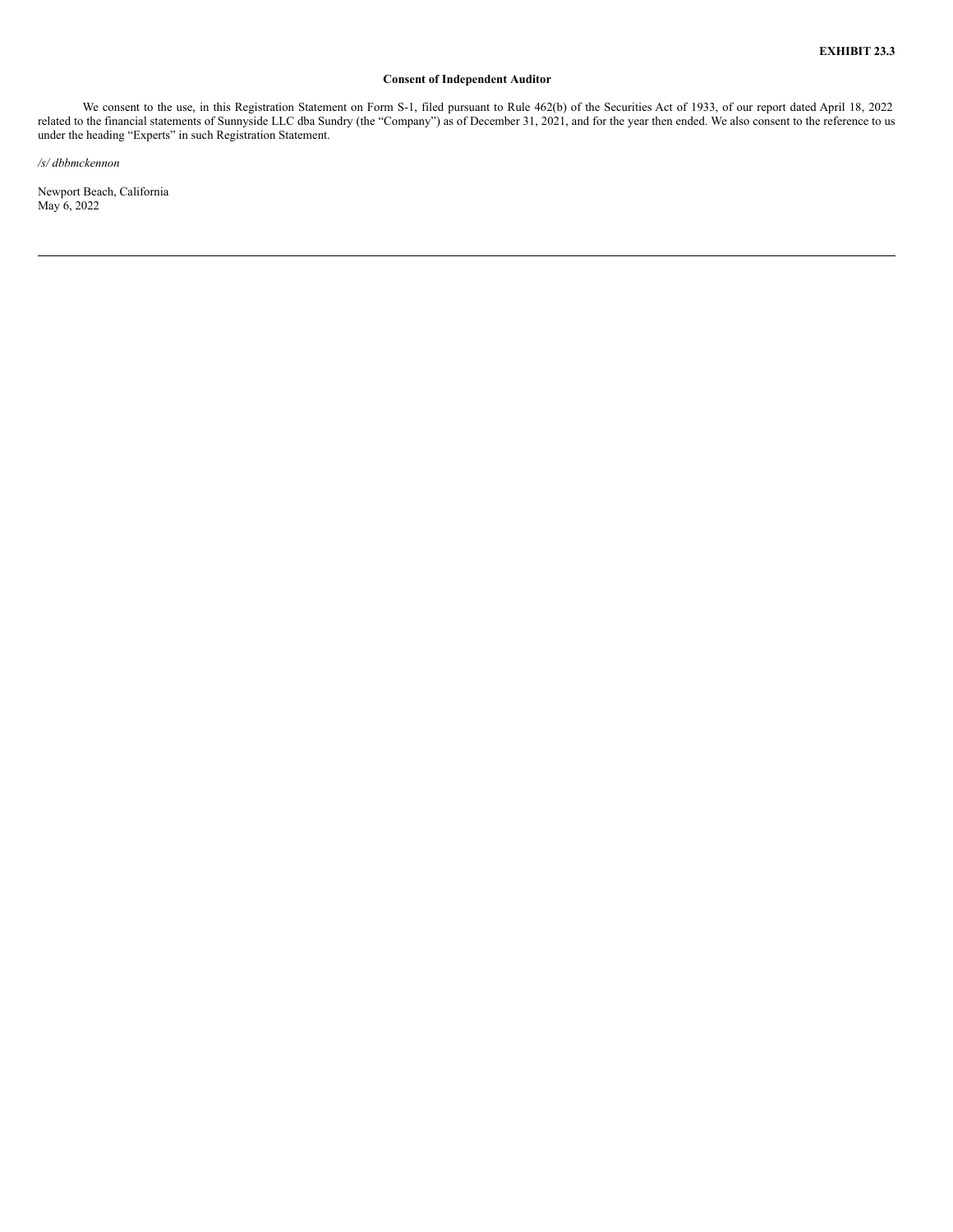# **Consent of Independent Auditor**

<span id="page-6-0"></span>We consent to the use, in this Registration Statement on Form S-1, filed pursuant to Rule 462(b) of the Securities Act of 1933, of our report dated April 18, 2022 related to the financial statements of Sunnyside LLC dba Sundry (the "Company") as of December 31, 2021, and for the year then ended. We also consent to the reference to us under the heading "Experts" in such Registration Statement.

*/s/ dbbmckennon*

Newport Beach, California May 6, 2022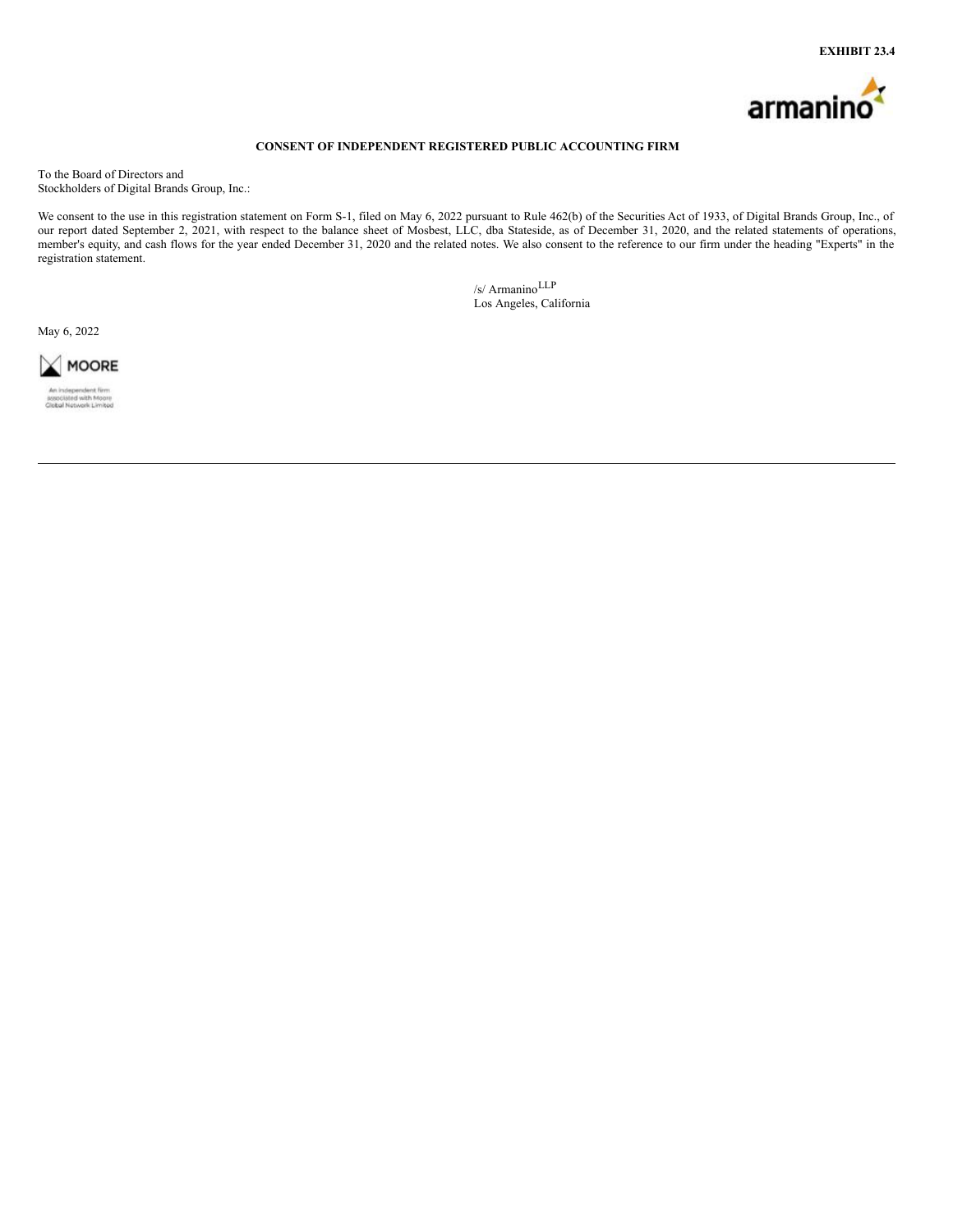

# **CONSENT OF INDEPENDENT REGISTERED PUBLIC ACCOUNTING FIRM**

<span id="page-7-0"></span>To the Board of Directors and Stockholders of Digital Brands Group, Inc.:

We consent to the use in this registration statement on Form S-1, filed on May 6, 2022 pursuant to Rule 462(b) of the Securities Act of 1933, of Digital Brands Group, Inc., of our report dated September 2, 2021, with respect to the balance sheet of Mosbest, LLC, dba Stateside, as of December 31, 2020, and the related statements of operations, member's equity, and cash flows for the year ended December 31, 2020 and the related notes. We also consent to the reference to our firm under the heading "Experts" in the registration statement.

> /s/ ArmaninoLLP Los Angeles, California

May 6, 2022

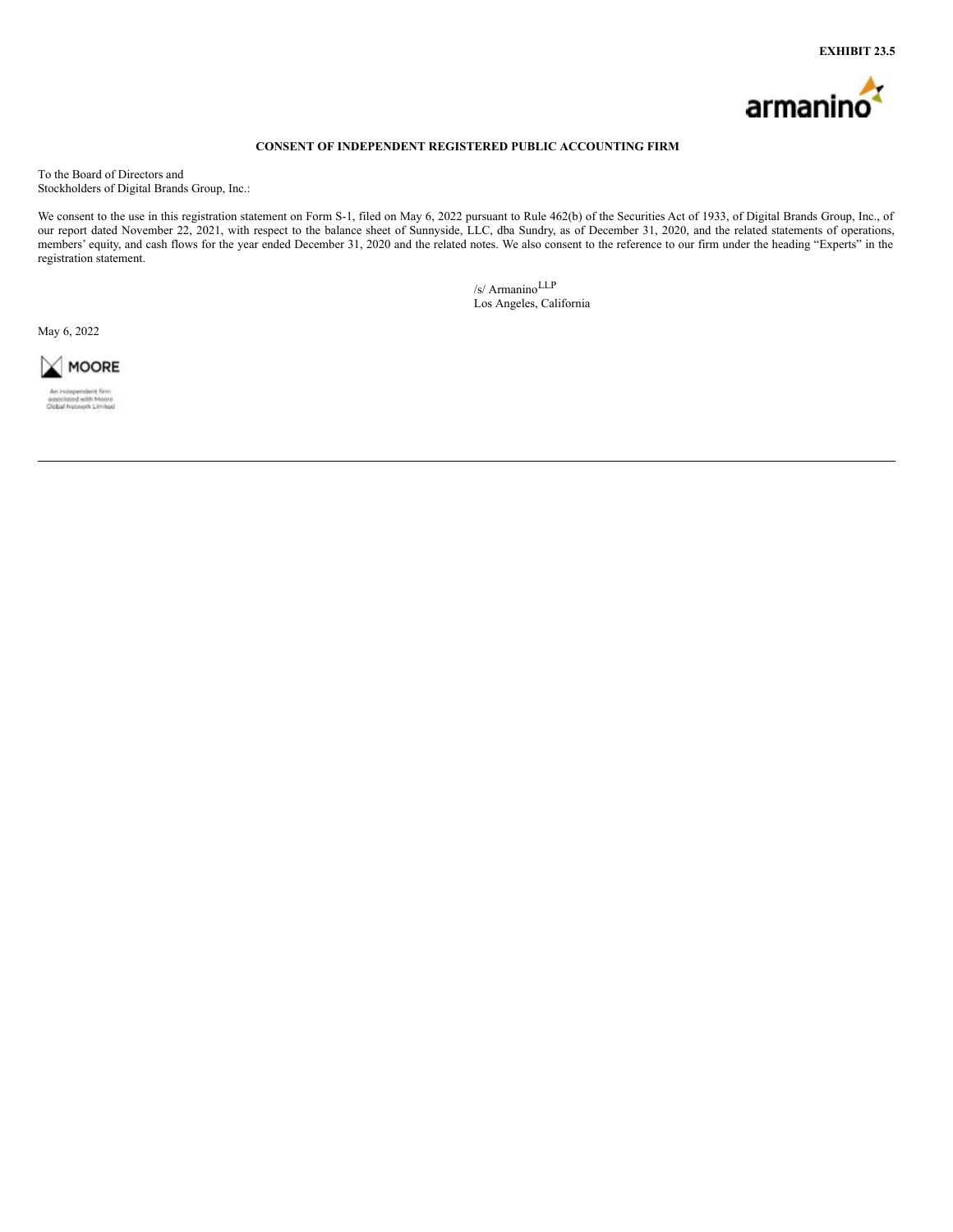

# **CONSENT OF INDEPENDENT REGISTERED PUBLIC ACCOUNTING FIRM**

<span id="page-8-0"></span>To the Board of Directors and Stockholders of Digital Brands Group, Inc.:

We consent to the use in this registration statement on Form S-1, filed on May 6, 2022 pursuant to Rule 462(b) of the Securities Act of 1933, of Digital Brands Group, Inc., of our report dated November 22, 2021, with respect to the balance sheet of Sunnyside, LLC, dba Sundry, as of December 31, 2020, and the related statements of operations, members' equity, and cash flows for the year ended December 31, 2020 and the related notes. We also consent to the reference to our firm under the heading "Experts" in the registration statement.

> /s/ ArmaninoLLP Los Angeles, California

May 6, 2022